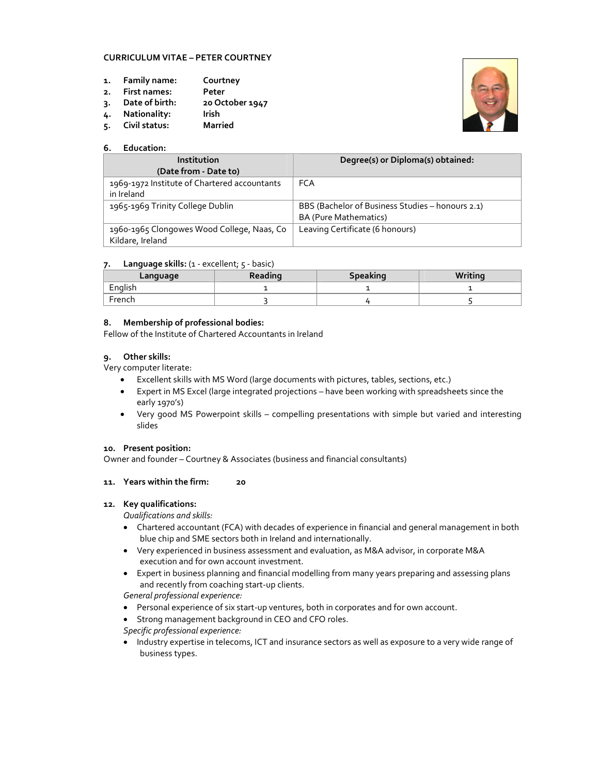## **CURRICULUM VITAE – PETER COURTNEY**

- **1. Family name: Courtney**
- **2. First names: Peter**
- **3. Date of birth: 20 October 1947**
- **4. Nationality: Irish**
- **5.** Civil status:

## **6. Education:**

| Institution                                  | Degree(s) or Diploma(s) obtained:                |
|----------------------------------------------|--------------------------------------------------|
| (Date from - Date to)                        |                                                  |
| 1969-1972 Institute of Chartered accountants | <b>FCA</b>                                       |
| in Ireland                                   |                                                  |
| 1965-1969 Trinity College Dublin             | BBS (Bachelor of Business Studies - honours 2.1) |
|                                              | <b>BA (Pure Mathematics)</b>                     |
| 1960-1965 Clongowes Wood College, Naas, Co   | Leaving Certificate (6 honours)                  |
| Kildare, Ireland                             |                                                  |

#### **7. Language skills:** (1 - excellent; 5 - basic)

| Language | Reading | Writina<br><b>Speaking</b> |  |  |  |  |  |
|----------|---------|----------------------------|--|--|--|--|--|
| English  |         |                            |  |  |  |  |  |
| French   |         |                            |  |  |  |  |  |

## **8. Membership of professional bodies:**

Fellow of the Institute of Chartered Accountants in Ireland

## **9. Other skills:**

Very computer literate:

- Excellent skills with MS Word (large documents with pictures, tables, sections, etc.)
- Expert in MS Excel (large integrated projections have been working with spreadsheets since the early 1970's)
- Very good MS Powerpoint skills compelling presentations with simple but varied and interesting slides

## **10. Present position:**

Owner and founder – Courtney & Associates (business and financial consultants)

# **11. Years within the firm: 20**

#### **12. Key qualifications:**

*Qualifications and skills:* 

- Chartered accountant (FCA) with decades of experience in financial and general management in both blue chip and SME sectors both in Ireland and internationally.
- Very experienced in business assessment and evaluation, as M&A advisor, in corporate M&A execution and for own account investment.
- Expert in business planning and financial modelling from many years preparing and assessing plans and recently from coaching start-up clients.

*General professional experience:* 

- Personal experience of six start-up ventures, both in corporates and for own account.
- Strong management background in CEO and CFO roles.

*Specific professional experience:* 

• Industry expertise in telecoms, ICT and insurance sectors as well as exposure to a very wide range of business types.

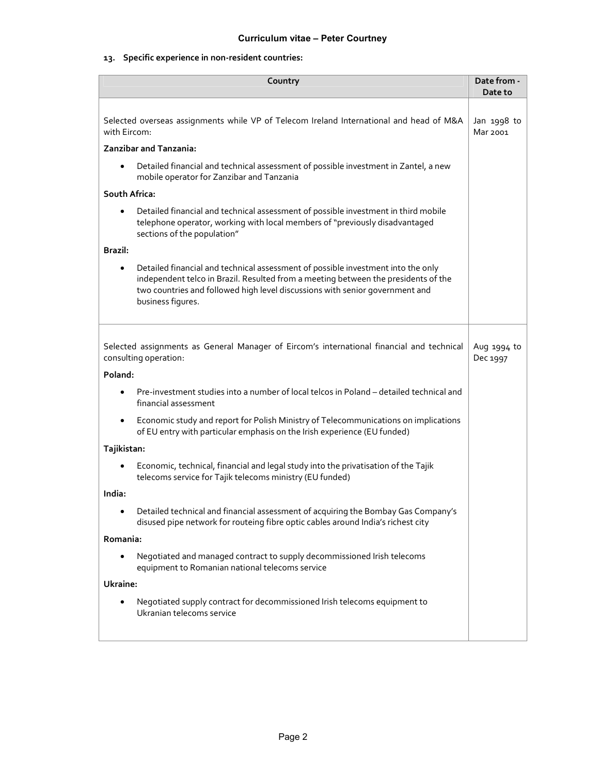## **13. Specific experience in non-resident countries:**

| Country                                                                                                                                                                    |                                                                                                                                                                                                                                                                             |  |  |  |  |  |
|----------------------------------------------------------------------------------------------------------------------------------------------------------------------------|-----------------------------------------------------------------------------------------------------------------------------------------------------------------------------------------------------------------------------------------------------------------------------|--|--|--|--|--|
|                                                                                                                                                                            |                                                                                                                                                                                                                                                                             |  |  |  |  |  |
| Selected overseas assignments while VP of Telecom Ireland International and head of M&A<br>with Eircom:                                                                    |                                                                                                                                                                                                                                                                             |  |  |  |  |  |
|                                                                                                                                                                            | Zanzibar and Tanzania:                                                                                                                                                                                                                                                      |  |  |  |  |  |
| $\bullet$                                                                                                                                                                  | Detailed financial and technical assessment of possible investment in Zantel, a new<br>mobile operator for Zanzibar and Tanzania                                                                                                                                            |  |  |  |  |  |
| South Africa:                                                                                                                                                              |                                                                                                                                                                                                                                                                             |  |  |  |  |  |
| $\bullet$                                                                                                                                                                  | Detailed financial and technical assessment of possible investment in third mobile<br>telephone operator, working with local members of "previously disadvantaged<br>sections of the population"                                                                            |  |  |  |  |  |
| Brazil:                                                                                                                                                                    |                                                                                                                                                                                                                                                                             |  |  |  |  |  |
| $\bullet$                                                                                                                                                                  | Detailed financial and technical assessment of possible investment into the only<br>independent telco in Brazil. Resulted from a meeting between the presidents of the<br>two countries and followed high level discussions with senior government and<br>business figures. |  |  |  |  |  |
|                                                                                                                                                                            |                                                                                                                                                                                                                                                                             |  |  |  |  |  |
|                                                                                                                                                                            | Selected assignments as General Manager of Eircom's international financial and technical<br>consulting operation:                                                                                                                                                          |  |  |  |  |  |
| Poland:                                                                                                                                                                    |                                                                                                                                                                                                                                                                             |  |  |  |  |  |
| $\bullet$                                                                                                                                                                  | Pre-investment studies into a number of local telcos in Poland - detailed technical and<br>financial assessment                                                                                                                                                             |  |  |  |  |  |
|                                                                                                                                                                            | Economic study and report for Polish Ministry of Telecommunications on implications<br>of EU entry with particular emphasis on the Irish experience (EU funded)                                                                                                             |  |  |  |  |  |
| Tajikistan:                                                                                                                                                                |                                                                                                                                                                                                                                                                             |  |  |  |  |  |
| $\bullet$                                                                                                                                                                  | Economic, technical, financial and legal study into the privatisation of the Tajik<br>telecoms service for Tajik telecoms ministry (EU funded)                                                                                                                              |  |  |  |  |  |
| India:                                                                                                                                                                     |                                                                                                                                                                                                                                                                             |  |  |  |  |  |
| Detailed technical and financial assessment of acquiring the Bombay Gas Company's<br>٠<br>disused pipe network for routeing fibre optic cables around India's richest city |                                                                                                                                                                                                                                                                             |  |  |  |  |  |
| Romania:                                                                                                                                                                   |                                                                                                                                                                                                                                                                             |  |  |  |  |  |
| $\bullet$                                                                                                                                                                  | Negotiated and managed contract to supply decommissioned Irish telecoms<br>equipment to Romanian national telecoms service                                                                                                                                                  |  |  |  |  |  |
| Ukraine:                                                                                                                                                                   |                                                                                                                                                                                                                                                                             |  |  |  |  |  |
|                                                                                                                                                                            | Negotiated supply contract for decommissioned Irish telecoms equipment to<br>Ukranian telecoms service                                                                                                                                                                      |  |  |  |  |  |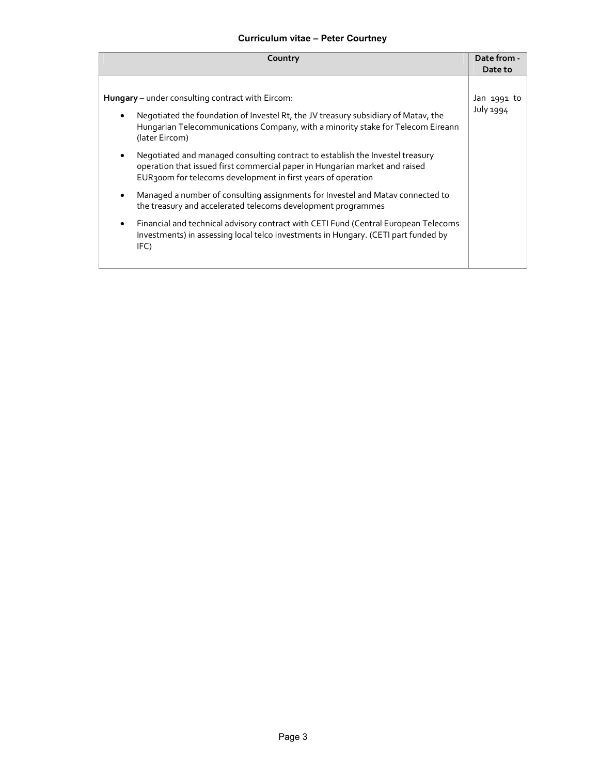# **Curriculum vitae – Peter Courtney**

| Country                                                                                                                                                                                                                           | Date from -      |
|-----------------------------------------------------------------------------------------------------------------------------------------------------------------------------------------------------------------------------------|------------------|
|                                                                                                                                                                                                                                   | Date to          |
| Hungary - under consulting contract with Eircom:                                                                                                                                                                                  | Jan 1991 to      |
|                                                                                                                                                                                                                                   |                  |
| Negotiated the foundation of Investel Rt, the JV treasury subsidiary of Matav, the<br>$\bullet$<br>Hungarian Telecommunications Company, with a minority stake for Telecom Eireann<br>(later Eircom)                              | <b>July 1994</b> |
| Negotiated and managed consulting contract to establish the Investel treasury<br>٠<br>operation that issued first commercial paper in Hungarian market and raised<br>EUR300m for telecoms development in first years of operation |                  |
| Managed a number of consulting assignments for Investel and Matav connected to<br>the treasury and accelerated telecoms development programmes                                                                                    |                  |
| Financial and technical advisory contract with CETI Fund (Central European Telecoms<br>٠<br>Investments) in assessing local telco investments in Hungary. (CETI part funded by<br>IFC)                                            |                  |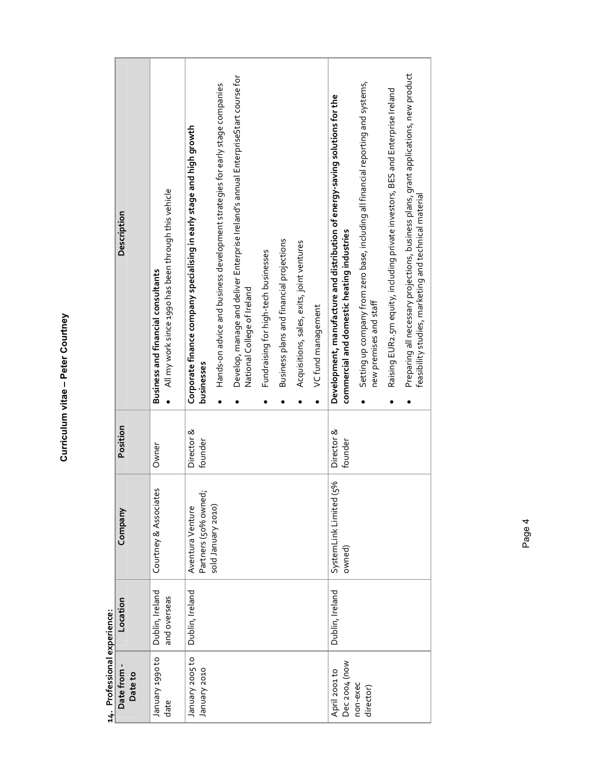Curriculum vitae - Peter Courtney **Curriculum vitae – Peter Courtney** 

Professional experience

|                              | Description          | All my work since 1990 has been through this vehicle<br>Business and financial consultants | Corporate finance company specialising in early stage and high growth<br>businesses | Hands-on advice and business development strategies for early stage companies<br>$\bullet$ | Develop, manage and deliver Enterprise Ireland's annual EnterpriseStart course for<br>National College of Ireland<br>$\bullet$ | Fundraising for high-tech businesses | Business plans and financial projections | Acquisitions, sales, exits, joint ventures | VC fund management | Development, manufacture and distribution of energy-saving solutions for the<br>commercial and domestic heating industries | Setting up company from zero base, including all financial reporting and systems,<br>new premises and staff<br>$\bullet$ | Raising EUR2.5m equity, including private investors, BES and Enterprise Ireland<br>$\bullet$ | Preparing all necessary projections, business plans, grant applications, new product<br>feasibility studies, marketing and technical material |
|------------------------------|----------------------|--------------------------------------------------------------------------------------------|-------------------------------------------------------------------------------------|--------------------------------------------------------------------------------------------|--------------------------------------------------------------------------------------------------------------------------------|--------------------------------------|------------------------------------------|--------------------------------------------|--------------------|----------------------------------------------------------------------------------------------------------------------------|--------------------------------------------------------------------------------------------------------------------------|----------------------------------------------------------------------------------------------|-----------------------------------------------------------------------------------------------------------------------------------------------|
|                              | Position             | Owner                                                                                      | Director &<br>founder                                                               |                                                                                            |                                                                                                                                |                                      |                                          |                                            |                    | Director &<br>founder                                                                                                      |                                                                                                                          |                                                                                              |                                                                                                                                               |
|                              | Company              | Courtney & Associates                                                                      | Partners (50% owned;<br>Aventura Venture                                            | sold January 2010)                                                                         |                                                                                                                                |                                      |                                          |                                            |                    | (5%<br>SystemLink Limited<br>owned)                                                                                        |                                                                                                                          |                                                                                              |                                                                                                                                               |
|                              | Location             | Dublin, Ireland<br>and overseas                                                            | Dublin, Ireland                                                                     |                                                                                            |                                                                                                                                |                                      |                                          |                                            |                    | Dublin, Ireland                                                                                                            |                                                                                                                          |                                                                                              |                                                                                                                                               |
| 14. Professional experience: | Date from<br>Date to | o <sub>1</sub> o66r Alenuer<br>date                                                        | January 2005 to<br>January 2010                                                     |                                                                                            |                                                                                                                                |                                      |                                          |                                            |                    | Dec 2004 (now<br>April 2001 to                                                                                             | non-exec<br>director)                                                                                                    |                                                                                              |                                                                                                                                               |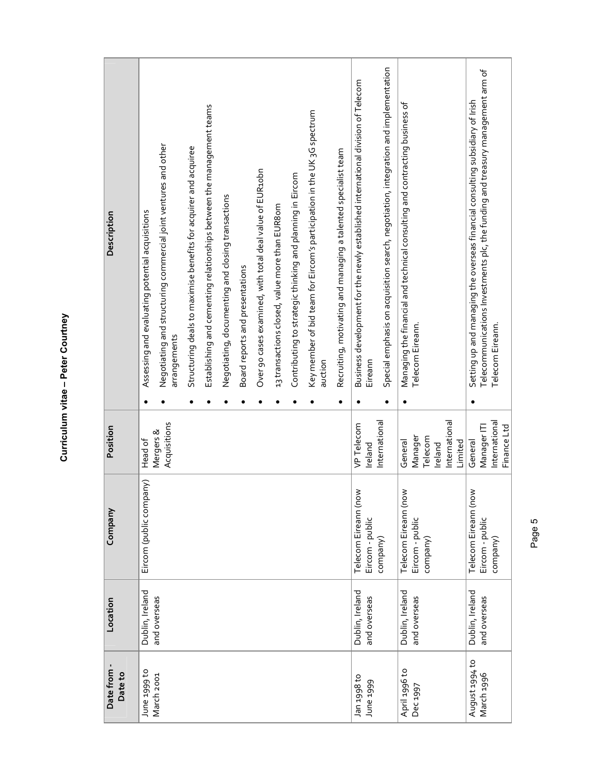| ١<br>ı |
|--------|
|        |
|        |
|        |
|        |

| Description            | Negotiating and structuring commercial joint ventures and other<br>Assessing and evaluating potential acquisitions<br>arrangements | Establishing and cementing relationships between the management teams<br>Structuring deals to maximise benefits for acquirer and acquiree | Over 90 cases examined, with total deal value of EUR10bn<br>Negotiating, documenting and closing transactions<br>Board reports and presentations | Contributing to strategic thinking and planning in Eircom<br>13 transactions closed, value more than EUR8om | Key member of bid team for Eircom's participation in the UK 3G spectrum<br>auction | Recruiting, motivating and managing a talented specialist team | Special emphasis on acquisition search, negotiation, integration and implementation<br>Business development for the newly established international division of Telecom<br>Eireann | Managing the financial and technical consulting and contracting business of<br>Telecom Eireann. | Telecommunications Investments plc, the funding and treasury management arm of<br>Setting up and managing the overseas financial consulting subsidiary of Irish<br>Telecom Eireann. |
|------------------------|------------------------------------------------------------------------------------------------------------------------------------|-------------------------------------------------------------------------------------------------------------------------------------------|--------------------------------------------------------------------------------------------------------------------------------------------------|-------------------------------------------------------------------------------------------------------------|------------------------------------------------------------------------------------|----------------------------------------------------------------|------------------------------------------------------------------------------------------------------------------------------------------------------------------------------------|-------------------------------------------------------------------------------------------------|-------------------------------------------------------------------------------------------------------------------------------------------------------------------------------------|
| Position               | Acquisitions<br>Mergers &<br>Head of                                                                                               |                                                                                                                                           |                                                                                                                                                  |                                                                                                             |                                                                                    |                                                                | International<br>VP Telecom<br>Ireland                                                                                                                                             | International<br>Manager<br>Telecom<br>General<br>Limited<br>Ireland                            | International<br>Finance Ltd<br>Manager ITI<br>General                                                                                                                              |
| Company                | Eircom (public company)                                                                                                            |                                                                                                                                           |                                                                                                                                                  |                                                                                                             |                                                                                    |                                                                | Telecom Eireann (now<br>Eircom - public<br>company)                                                                                                                                | Telecom Eireann (now<br>Eircom - public<br>company)                                             | Telecom Eireann (now<br>Eircom - public<br>company)                                                                                                                                 |
| Location               | Dublin, Ireland<br>and overseas                                                                                                    |                                                                                                                                           |                                                                                                                                                  |                                                                                                             |                                                                                    |                                                                | Dublin, Ireland<br>and overseas                                                                                                                                                    | Dublin, Ireland<br>and overseas                                                                 | Dublin, Ireland<br>and overseas                                                                                                                                                     |
| Date from -<br>Date to | June 1999 to<br>March 2001                                                                                                         |                                                                                                                                           |                                                                                                                                                  |                                                                                                             |                                                                                    |                                                                | of 866t uer<br>June 1999                                                                                                                                                           | April 1996 to<br>Dec 1997                                                                       | August 1994 to<br>March 1996                                                                                                                                                        |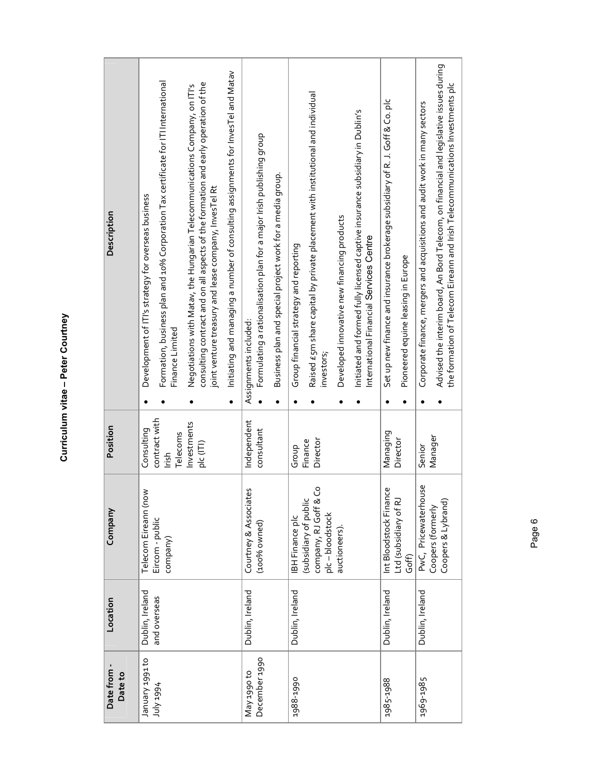| ֧֚֚֚֚֚֝֝<br>֧֚֚֚֝ | ١<br>ı |
|-------------------|--------|
|                   |        |
|                   |        |
|                   |        |
|                   |        |

| Description          | Initiating and managing a number of consulting assignments for InvesTel and Matav<br>Formation, business plan and 10% Corporation Tax certificate for ITI International<br>consulting contract and on all aspects of the formation and early operation of the<br>Negotiations with Matav, the Hungarian Telecommunications Company, on ITI's<br>joint venture treasury and lease company, invesTel Rt<br>Development of ITI's strategy for overseas business<br>Finance Limited<br>$\bullet$<br>$\bullet$ | Formulating a rationalisation plan for a major Irish publishing group<br>Business plan and special project work for a media group.<br>Assignments included: | Raised £5m share capital by private placement with institutional and individual<br>Initiated and formed fully licensed captive insurance subsidiary in Dublin's<br>Developed innovative new financing products<br>International Financial Services Centre<br>Group financial strategy and reporting<br>investors; | Set up new finance and insurance brokerage subsidiary of R. J. Goff & Co. plc<br>Pioneered equine leasing in Europe<br>$\bullet$ | Advised the interim board, An Bord Telecom, on financial and legislative issues during<br>the formation of Telecom Eireann and Irish Telecommunications Investments plc<br>Corporate finance, mergers and acquisitions and audit work in many sectors |
|----------------------|-----------------------------------------------------------------------------------------------------------------------------------------------------------------------------------------------------------------------------------------------------------------------------------------------------------------------------------------------------------------------------------------------------------------------------------------------------------------------------------------------------------|-------------------------------------------------------------------------------------------------------------------------------------------------------------|-------------------------------------------------------------------------------------------------------------------------------------------------------------------------------------------------------------------------------------------------------------------------------------------------------------------|----------------------------------------------------------------------------------------------------------------------------------|-------------------------------------------------------------------------------------------------------------------------------------------------------------------------------------------------------------------------------------------------------|
| Position             | contract with<br>Investments<br>Consulting<br>Telecoms<br>plc (ITI)<br>lrish                                                                                                                                                                                                                                                                                                                                                                                                                              | Independent<br>consultant                                                                                                                                   | Director<br>Finance<br>Group                                                                                                                                                                                                                                                                                      | Managing<br>Director                                                                                                             | Manager<br>Senior                                                                                                                                                                                                                                     |
| Company              | Telecom Eireann (now<br>Eircom - public<br>company)                                                                                                                                                                                                                                                                                                                                                                                                                                                       | Courtney & Associates<br>(100% owned)                                                                                                                       | ů<br>company, RJ Goff & <sub>'</sub><br>plc – bloodstock<br>(subsidiary of public<br><b>IBH Finance plc</b><br>auctioneers).                                                                                                                                                                                      | به<br>Int Bloodstock Finano<br>Ltd (subsidiary of RJ<br>Goff)                                                                    | PwC, Pricewaterhouse<br>Coopers & Lybrand)<br>Coopers (formerly                                                                                                                                                                                       |
| Location             | Dublin, Ireland<br>and overseas                                                                                                                                                                                                                                                                                                                                                                                                                                                                           | Dublin, Ireland                                                                                                                                             | Dublin, Ireland                                                                                                                                                                                                                                                                                                   | Dublin, Ireland                                                                                                                  | Dublin, Ireland                                                                                                                                                                                                                                       |
| Date from<br>Date to | o <sub>1</sub> r66r Alenuer<br>+66t Apr                                                                                                                                                                                                                                                                                                                                                                                                                                                                   | December 1990<br>May 1990 to                                                                                                                                | 1988-1990                                                                                                                                                                                                                                                                                                         | 1985-1988                                                                                                                        | 1969-1985                                                                                                                                                                                                                                             |